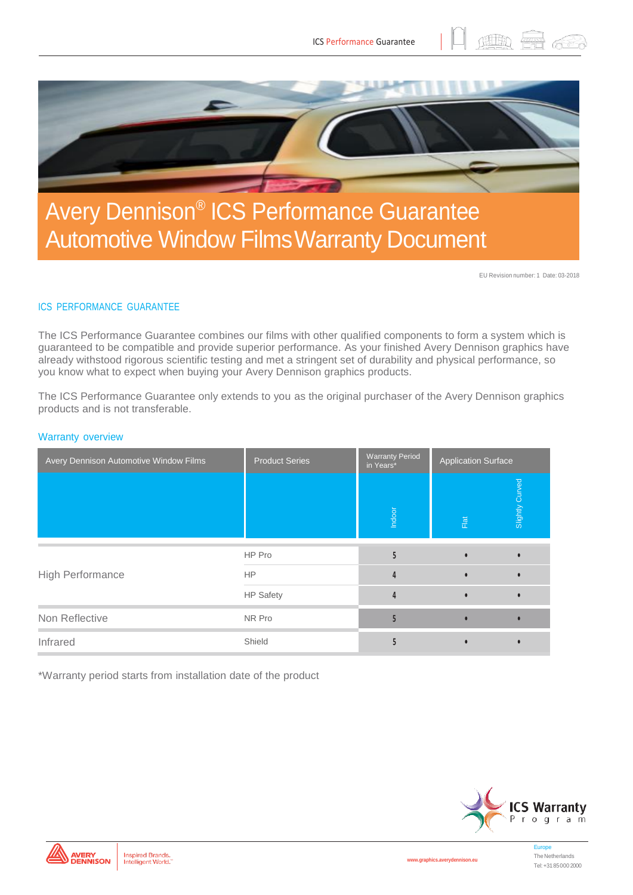

## Avery Dennison® ICS Performance Guarantee Automotive Window FilmsWarranty Document

EU Revision number: 1 Date: 03-2018

(韭助 )

## ICS PERFORMANCE GUARANTEE

The ICS Performance Guarantee combines our films with other qualified components to form a system which is guaranteed to be compatible and provide superior performance. As your finished Avery Dennison graphics have already withstood rigorous scientific testing and met a stringent set of durability and physical performance, so you know what to expect when buying your Avery Dennison graphics products.

The ICS Performance Guarantee only extends to you as the original purchaser of the Avery Dennison graphics products and is not transferable.

#### Warranty overview

| Avery Dennison Automotive Window Films | <b>Product Series</b> | <b>Warranty Period</b><br>in Years* | <b>Application Surface</b> |                 |
|----------------------------------------|-----------------------|-------------------------------------|----------------------------|-----------------|
|                                        |                       | Indoor                              | $\overline{\text{F}}$      | Slightly Curved |
| High Performance                       | HP Pro                |                                     |                            |                 |
|                                        | <b>HP</b>             | Δ                                   |                            |                 |
|                                        | <b>HP Safety</b>      | 4                                   |                            |                 |
| Non Reflective                         | NR Pro                |                                     |                            |                 |
| Infrared                               | Shield                |                                     |                            |                 |

\*Warranty period starts from installation date of the product





**[www.graphics.averydennison.eu](http://www.graphics.averydennison.eu/)**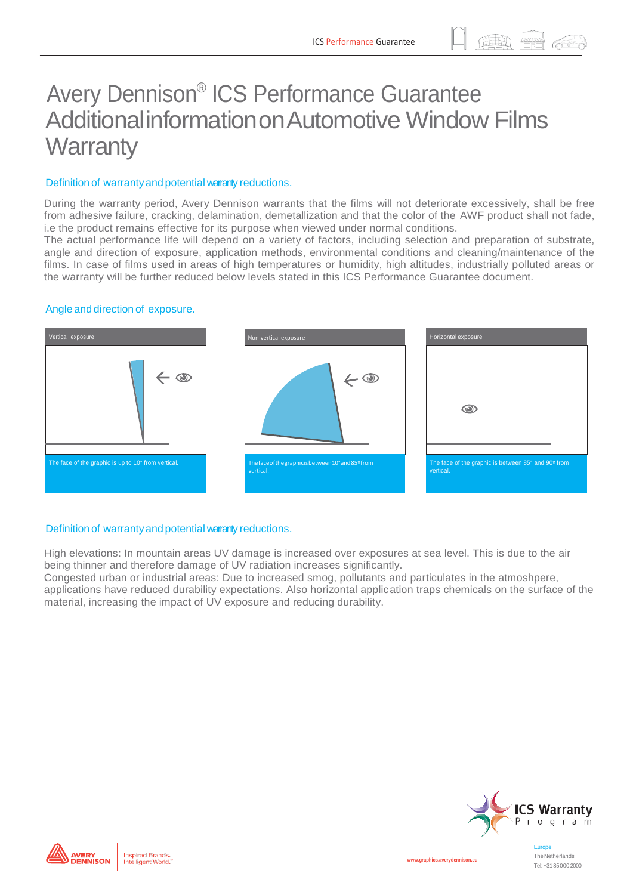田助 無

# Avery Dennison® ICS Performance Guarantee AdditionalinformationonAutomotive Window Films **Warranty**

#### Definition of warranty and potential warranty reductions.

During the warranty period, Avery Dennison warrants that the films will not deteriorate excessively, shall be free from adhesive failure, cracking, delamination, demetallization and that the color of the AWF product shall not fade, i.e the product remains effective for its purpose when viewed under normal conditions.

The actual performance life will depend on a variety of factors, including selection and preparation of substrate, angle and direction of exposure, application methods, environmental conditions and cleaning/maintenance of the films. In case of films used in areas of high temperatures or humidity, high altitudes, industrially polluted areas or the warranty will be further reduced below levels stated in this ICS Performance Guarantee document.

#### Angle and direction of exposure.



### Definition of warranty and potential warranty reductions.

High elevations: In mountain areas UV damage is increased over exposures at sea level. This is due to the air being thinner and therefore damage of UV radiation increases significantly.

Congested urban or industrial areas: Due to increased smog, pollutants and particulates in the atmoshpere, applications have reduced durability expectations. Also horizontal application traps chemicals on the surface of the material, increasing the impact of UV exposure and reducing durability.



**[www.graphics.averydennison.eu](http://www.graphics.averydennison.eu/)**